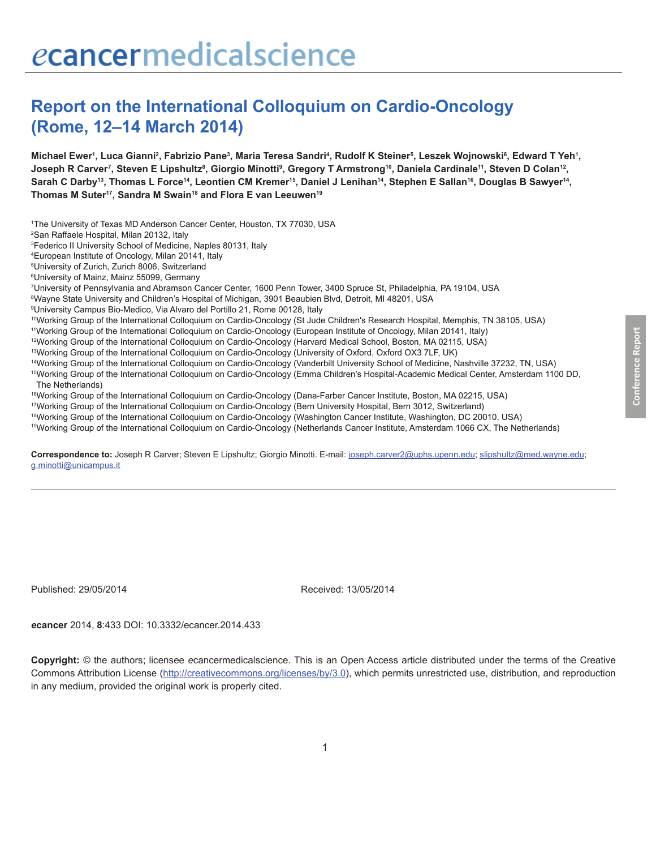# **Report on the International Colloquium on Cardio-Oncology (Rome, 12–14 March 2014)**

Michael Ewer<sup>ı</sup>, Luca Gianni<sup>2</sup>, Fabrizio Pane<sup>3</sup>, Maria Teresa Sandri<sup>4</sup>, Rudolf K Steiner<sup>s</sup>, Leszek Wojnowski<sup>s</sup>, Edward T Yeh<sup>1</sup>, Joseph R Carver<sup>7</sup>, Steven E Lipshultz<sup>8</sup>, Giorgio Minotti<sup>9</sup>, Gregory T Armstrong<sup>10</sup>, Daniela Cardinale<sup>11</sup>, Steven D Colan<sup>12</sup>, Sarah C Darby<sup>13</sup>, Thomas L Force<sup>14</sup>, Leontien CM Kremer<sup>15</sup>, Daniel J Lenihan<sup>14</sup>, Stephen E Sallan<sup>16</sup>, Douglas B Sawyer<sup>14</sup>, Thomas M Suter<sup>17</sup>, Sandra M Swain<sup>18</sup> and Flora E van Leeuwen<sup>19</sup>

1 The University of Texas MD Anderson Cancer Center, Houston, TX 77030, USA

2 San Raffaele Hospital, Milan 20132, Italy

3 Federico II University School of Medicine, Naples 80131, Italy

4 European Institute of Oncology, Milan 20141, Italy

5 University of Zurich, Zurich 8006, Switzerland

6 University of Mainz, Mainz 55099, Germany

7 University of Pennsylvania and Abramson Cancer Center, 1600 Penn Tower, 3400 Spruce St, Philadelphia, PA 19104, USA

8 Wayne State University and Children's Hospital of Michigan, 3901 Beaubien Blvd, Detroit, MI 48201, USA

9 University Campus Bio-Medico, Via Alvaro del Portillo 21, Rome 00128, Italy

10Working Group of the International Colloquium on Cardio-Oncology (St Jude Children's Research Hospital, Memphis, TN 38105, USA)

11Working Group of the International Colloquium on Cardio-Oncology (European Institute of Oncology, Milan 20141, Italy)

12Working Group of the International Colloquium on Cardio-Oncology (Harvard Medical School, Boston, MA 02115, USA)

13Working Group of the International Colloquium on Cardio-Oncology (University of Oxford, Oxford OX3 7LF, UK)

14Working Group of the International Colloquium on Cardio-Oncology (Vanderbilt University School of Medicine, Nashville 37232, TN, USA)

15Working Group of the International Colloquium on Cardio-Oncology (Emma Children's Hospital-Academic Medical Center, Amsterdam 1100 DD, The Netherlands)

16Working Group of the International Colloquium on Cardio-Oncology (Dana-Farber Cancer Institute, Boston, MA 02215, USA)

17Working Group of the International Colloquium on Cardio-Oncology (Bern University Hospital, Bern 3012, Switzerland)

18Working Group of the International Colloquium on Cardio-Oncology (Washington Cancer Institute, Washington, DC 20010, USA)

19Working Group of the International Colloquium on Cardio-Oncology (Netherlands Cancer Institute, Amsterdam 1066 CX, The Netherlands)

Correspondence to: Joseph R Carver; Steven E Lipshultz; Giorgio Minotti. E-mail: joseph.carver2@uphs.upenn.edu; slipshultz@med.wayne.edu; g.minotti@unicampus.it

Published: 29/05/2014 Received: 13/05/2014

*e***cancer** 2014, **8**:433 DOI: 10.3332/ecancer.2014.433

**Copyright:** © the authors; licensee *e*cancermedicalscience. This is an Open Access article distributed under the terms of the Creative Commons Attribution License (http://creativecommons.org/licenses/by/3.0), which permits unrestricted use, distribution, and reproduction in any medium, provided the original work is properly cited.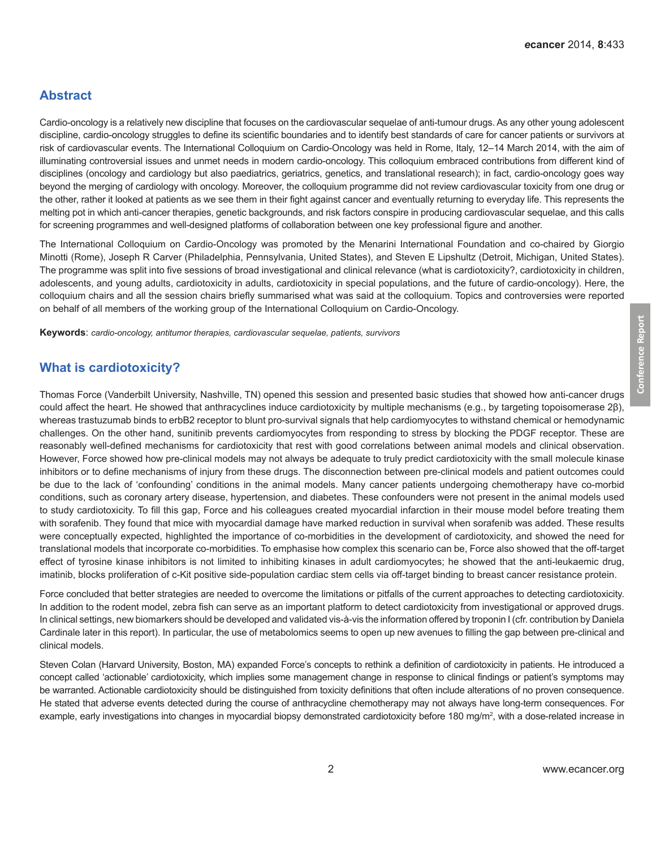# **Abstract**

Cardio-oncology is a relatively new discipline that focuses on the cardiovascular sequelae of anti-tumour drugs. As any other young adolescent discipline, cardio-oncology struggles to define its scientific boundaries and to identify best standards of care for cancer patients or survivors at risk of cardiovascular events. The International Colloquium on Cardio-Oncology was held in Rome, Italy, 12–14 March 2014, with the aim of illuminating controversial issues and unmet needs in modern cardio-oncology. This colloquium embraced contributions from different kind of disciplines (oncology and cardiology but also paediatrics, geriatrics, genetics, and translational research); in fact, cardio-oncology goes way beyond the merging of cardiology with oncology. Moreover, the colloquium programme did not review cardiovascular toxicity from one drug or the other, rather it looked at patients as we see them in their fight against cancer and eventually returning to everyday life. This represents the melting pot in which anti-cancer therapies, genetic backgrounds, and risk factors conspire in producing cardiovascular sequelae, and this calls for screening programmes and well-designed platforms of collaboration between one key professional figure and another.

The International Colloquium on Cardio-Oncology was promoted by the Menarini International Foundation and co-chaired by Giorgio Minotti (Rome), Joseph R Carver (Philadelphia, Pennsylvania, United States), and Steven E Lipshultz (Detroit, Michigan, United States). The programme was split into five sessions of broad investigational and clinical relevance (what is cardiotoxicity?, cardiotoxicity in children, adolescents, and young adults, cardiotoxicity in adults, cardiotoxicity in special populations, and the future of cardio-oncology). Here, the colloquium chairs and all the session chairs briefly summarised what was said at the colloquium. Topics and controversies were reported on behalf of all members of the working group of the International Colloquium on Cardio-Oncology.

**Keywords**: *cardio-oncology, antitumor therapies, cardiovascular sequelae, patients, survivors*

# **What is cardiotoxicity?**

Thomas Force (Vanderbilt University, Nashville, TN) opened this session and presented basic studies that showed how anti-cancer drugs could affect the heart. He showed that anthracyclines induce cardiotoxicity by multiple mechanisms (e.g., by targeting topoisomerase 2β), whereas trastuzumab binds to erbB2 receptor to blunt pro-survival signals that help cardiomyocytes to withstand chemical or hemodynamic challenges. On the other hand, sunitinib prevents cardiomyocytes from responding to stress by blocking the PDGF receptor. These are reasonably well-defined mechanisms for cardiotoxicity that rest with good correlations between animal models and clinical observation. However, Force showed how pre-clinical models may not always be adequate to truly predict cardiotoxicity with the small molecule kinase inhibitors or to define mechanisms of injury from these drugs. The disconnection between pre-clinical models and patient outcomes could be due to the lack of 'confounding' conditions in the animal models. Many cancer patients undergoing chemotherapy have co-morbid conditions, such as coronary artery disease, hypertension, and diabetes. These confounders were not present in the animal models used to study cardiotoxicity. To fill this gap, Force and his colleagues created myocardial infarction in their mouse model before treating them with sorafenib. They found that mice with myocardial damage have marked reduction in survival when sorafenib was added. These results were conceptually expected, highlighted the importance of co-morbidities in the development of cardiotoxicity, and showed the need for translational models that incorporate co-morbidities. To emphasise how complex this scenario can be, Force also showed that the off-target effect of tyrosine kinase inhibitors is not limited to inhibiting kinases in adult cardiomyocytes; he showed that the anti-leukaemic drug, imatinib, blocks proliferation of c-Kit positive side-population cardiac stem cells via off-target binding to breast cancer resistance protein.

Force concluded that better strategies are needed to overcome the limitations or pitfalls of the current approaches to detecting cardiotoxicity. In addition to the rodent model, zebra fish can serve as an important platform to detect cardiotoxicity from investigational or approved drugs. In clinical settings, new biomarkers should be developed and validated vis-à-vis the information offered by troponin I (cfr. contribution by Daniela Cardinale later in this report). In particular, the use of metabolomics seems to open up new avenues to filling the gap between pre-clinical and clinical models.

Steven Colan (Harvard University, Boston, MA) expanded Force's concepts to rethink a definition of cardiotoxicity in patients. He introduced a concept called 'actionable' cardiotoxicity, which implies some management change in response to clinical findings or patient's symptoms may be warranted. Actionable cardiotoxicity should be distinguished from toxicity definitions that often include alterations of no proven consequence. He stated that adverse events detected during the course of anthracycline chemotherapy may not always have long-term consequences. For example, early investigations into changes in myocardial biopsy demonstrated cardiotoxicity before 180 mg/m<sup>2</sup>, with a dose-related increase in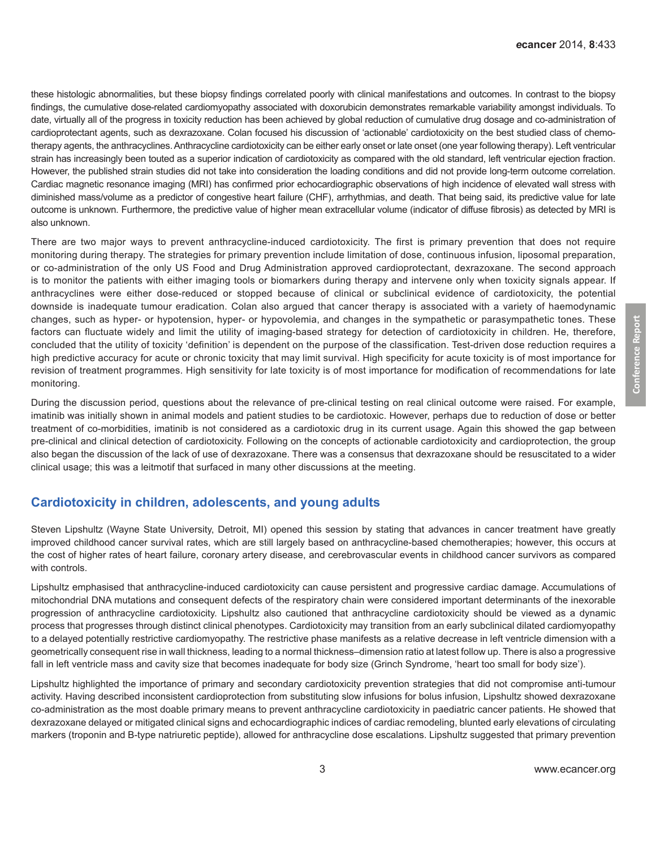these histologic abnormalities, but these biopsy findings correlated poorly with clinical manifestations and outcomes. In contrast to the biopsy findings, the cumulative dose-related cardiomyopathy associated with doxorubicin demonstrates remarkable variability amongst individuals. To date, virtually all of the progress in toxicity reduction has been achieved by global reduction of cumulative drug dosage and co-administration of cardioprotectant agents, such as dexrazoxane. Colan focused his discussion of 'actionable' cardiotoxicity on the best studied class of chemotherapy agents, the anthracyclines. Anthracycline cardiotoxicity can be either early onset or late onset (one year following therapy). Left ventricular strain has increasingly been touted as a superior indication of cardiotoxicity as compared with the old standard, left ventricular ejection fraction. However, the published strain studies did not take into consideration the loading conditions and did not provide long-term outcome correlation. Cardiac magnetic resonance imaging (MRI) has confirmed prior echocardiographic observations of high incidence of elevated wall stress with diminished mass/volume as a predictor of congestive heart failure (CHF), arrhythmias, and death. That being said, its predictive value for late outcome is unknown. Furthermore, the predictive value of higher mean extracellular volume (indicator of diffuse fibrosis) as detected by MRI is also unknown.

There are two major ways to prevent anthracycline-induced cardiotoxicity. The first is primary prevention that does not require monitoring during therapy. The strategies for primary prevention include limitation of dose, continuous infusion, liposomal preparation, or co-administration of the only US Food and Drug Administration approved cardioprotectant, dexrazoxane. The second approach is to monitor the patients with either imaging tools or biomarkers during therapy and intervene only when toxicity signals appear. If anthracyclines were either dose-reduced or stopped because of clinical or subclinical evidence of cardiotoxicity, the potential downside is inadequate tumour eradication. Colan also argued that cancer therapy is associated with a variety of haemodynamic changes, such as hyper- or hypotension, hyper- or hypovolemia, and changes in the sympathetic or parasympathetic tones. These factors can fluctuate widely and limit the utility of imaging-based strategy for detection of cardiotoxicity in children. He, therefore, concluded that the utility of toxicity 'definition' is dependent on the purpose of the classification. Test-driven dose reduction requires a high predictive accuracy for acute or chronic toxicity that may limit survival. High specificity for acute toxicity is of most importance for revision of treatment programmes. High sensitivity for late toxicity is of most importance for modification of recommendations for late monitoring.

During the discussion period, questions about the relevance of pre-clinical testing on real clinical outcome were raised. For example, imatinib was initially shown in animal models and patient studies to be cardiotoxic. However, perhaps due to reduction of dose or better treatment of co-morbidities, imatinib is not considered as a cardiotoxic drug in its current usage. Again this showed the gap between pre-clinical and clinical detection of cardiotoxicity. Following on the concepts of actionable cardiotoxicity and cardioprotection, the group also began the discussion of the lack of use of dexrazoxane. There was a consensus that dexrazoxane should be resuscitated to a wider clinical usage; this was a leitmotif that surfaced in many other discussions at the meeting.

#### **Cardiotoxicity in children, adolescents, and young adults**

Steven Lipshultz (Wayne State University, Detroit, MI) opened this session by stating that advances in cancer treatment have greatly improved childhood cancer survival rates, which are still largely based on anthracycline-based chemotherapies; however, this occurs at the cost of higher rates of heart failure, coronary artery disease, and cerebrovascular events in childhood cancer survivors as compared with controls.

Lipshultz emphasised that anthracycline-induced cardiotoxicity can cause persistent and progressive cardiac damage. Accumulations of mitochondrial DNA mutations and consequent defects of the respiratory chain were considered important determinants of the inexorable progression of anthracycline cardiotoxicity. Lipshultz also cautioned that anthracycline cardiotoxicity should be viewed as a dynamic process that progresses through distinct clinical phenotypes. Cardiotoxicity may transition from an early subclinical dilated cardiomyopathy to a delayed potentially restrictive cardiomyopathy. The restrictive phase manifests as a relative decrease in left ventricle dimension with a geometrically consequent rise in wall thickness, leading to a normal thickness–dimension ratio at latest follow up. There is also a progressive fall in left ventricle mass and cavity size that becomes inadequate for body size (Grinch Syndrome, 'heart too small for body size').

Lipshultz highlighted the importance of primary and secondary cardiotoxicity prevention strategies that did not compromise anti-tumour activity. Having described inconsistent cardioprotection from substituting slow infusions for bolus infusion, Lipshultz showed dexrazoxane co-administration as the most doable primary means to prevent anthracycline cardiotoxicity in paediatric cancer patients. He showed that dexrazoxane delayed or mitigated clinical signs and echocardiographic indices of cardiac remodeling, blunted early elevations of circulating markers (troponin and B-type natriuretic peptide), allowed for anthracycline dose escalations. Lipshultz suggested that primary prevention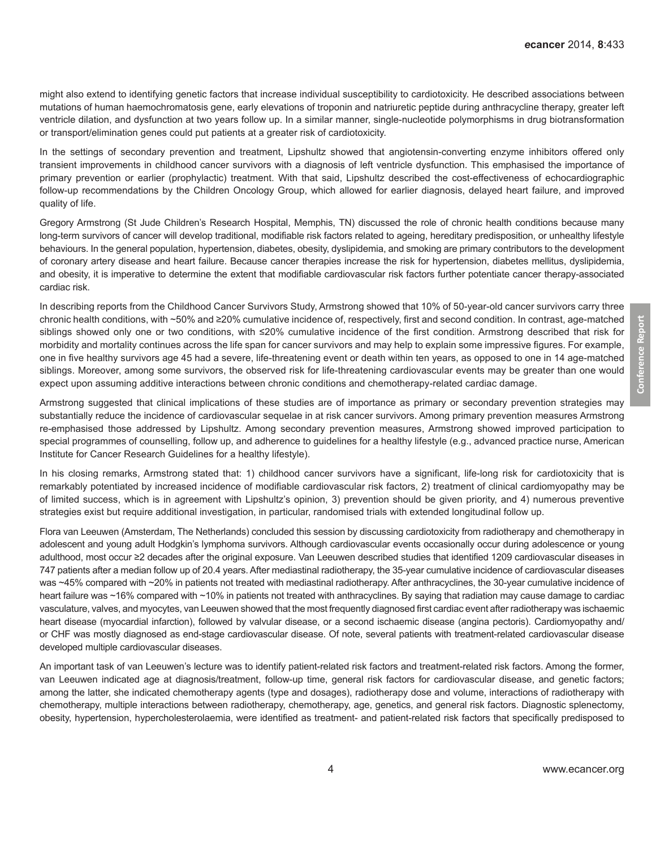might also extend to identifying genetic factors that increase individual susceptibility to cardiotoxicity. He described associations between mutations of human haemochromatosis gene, early elevations of troponin and natriuretic peptide during anthracycline therapy, greater left ventricle dilation, and dysfunction at two years follow up. In a similar manner, single-nucleotide polymorphisms in drug biotransformation or transport/elimination genes could put patients at a greater risk of cardiotoxicity.

In the settings of secondary prevention and treatment, Lipshultz showed that angiotensin-converting enzyme inhibitors offered only transient improvements in childhood cancer survivors with a diagnosis of left ventricle dysfunction. This emphasised the importance of primary prevention or earlier (prophylactic) treatment. With that said, Lipshultz described the cost-effectiveness of echocardiographic follow-up recommendations by the Children Oncology Group, which allowed for earlier diagnosis, delayed heart failure, and improved quality of life.

Gregory Armstrong (St Jude Children's Research Hospital, Memphis, TN) discussed the role of chronic health conditions because many long-term survivors of cancer will develop traditional, modifiable risk factors related to ageing, hereditary predisposition, or unhealthy lifestyle behaviours. In the general population, hypertension, diabetes, obesity, dyslipidemia, and smoking are primary contributors to the development of coronary artery disease and heart failure. Because cancer therapies increase the risk for hypertension, diabetes mellitus, dyslipidemia, and obesity, it is imperative to determine the extent that modifiable cardiovascular risk factors further potentiate cancer therapy-associated cardiac risk.

In describing reports from the Childhood Cancer Survivors Study, Armstrong showed that 10% of 50-year-old cancer survivors carry three chronic health conditions, with ~50% and ≥20% cumulative incidence of, respectively, first and second condition. In contrast, age-matched siblings showed only one or two conditions, with ≤20% cumulative incidence of the first condition. Armstrong described that risk for morbidity and mortality continues across the life span for cancer survivors and may help to explain some impressive figures. For example, one in five healthy survivors age 45 had a severe, life-threatening event or death within ten years, as opposed to one in 14 age-matched siblings. Moreover, among some survivors, the observed risk for life-threatening cardiovascular events may be greater than one would expect upon assuming additive interactions between chronic conditions and chemotherapy-related cardiac damage.

Armstrong suggested that clinical implications of these studies are of importance as primary or secondary prevention strategies may substantially reduce the incidence of cardiovascular sequelae in at risk cancer survivors. Among primary prevention measures Armstrong re-emphasised those addressed by Lipshultz. Among secondary prevention measures, Armstrong showed improved participation to special programmes of counselling, follow up, and adherence to guidelines for a healthy lifestyle (e.g., advanced practice nurse, American Institute for Cancer Research Guidelines for a healthy lifestyle).

In his closing remarks, Armstrong stated that: 1) childhood cancer survivors have a significant, life-long risk for cardiotoxicity that is remarkably potentiated by increased incidence of modifiable cardiovascular risk factors, 2) treatment of clinical cardiomyopathy may be of limited success, which is in agreement with Lipshultz's opinion, 3) prevention should be given priority, and 4) numerous preventive strategies exist but require additional investigation, in particular, randomised trials with extended longitudinal follow up.

Flora van Leeuwen (Amsterdam, The Netherlands) concluded this session by discussing cardiotoxicity from radiotherapy and chemotherapy in adolescent and young adult Hodgkin's lymphoma survivors. Although cardiovascular events occasionally occur during adolescence or young adulthood, most occur ≥2 decades after the original exposure. Van Leeuwen described studies that identified 1209 cardiovascular diseases in 747 patients after a median follow up of 20.4 years. After mediastinal radiotherapy, the 35-year cumulative incidence of cardiovascular diseases was ~45% compared with ~20% in patients not treated with mediastinal radiotherapy. After anthracyclines, the 30-year cumulative incidence of heart failure was ~16% compared with ~10% in patients not treated with anthracyclines. By saying that radiation may cause damage to cardiac vasculature, valves, and myocytes, van Leeuwen showed that the most frequently diagnosed first cardiac event after radiotherapy was ischaemic heart disease (myocardial infarction), followed by valvular disease, or a second ischaemic disease (angina pectoris). Cardiomyopathy and/ or CHF was mostly diagnosed as end-stage cardiovascular disease. Of note, several patients with treatment-related cardiovascular disease developed multiple cardiovascular diseases.

An important task of van Leeuwen's lecture was to identify patient-related risk factors and treatment-related risk factors. Among the former, van Leeuwen indicated age at diagnosis/treatment, follow-up time, general risk factors for cardiovascular disease, and genetic factors; among the latter, she indicated chemotherapy agents (type and dosages), radiotherapy dose and volume, interactions of radiotherapy with chemotherapy, multiple interactions between radiotherapy, chemotherapy, age, genetics, and general risk factors. Diagnostic splenectomy, obesity, hypertension, hypercholesterolaemia, were identified as treatment- and patient-related risk factors that specifically predisposed to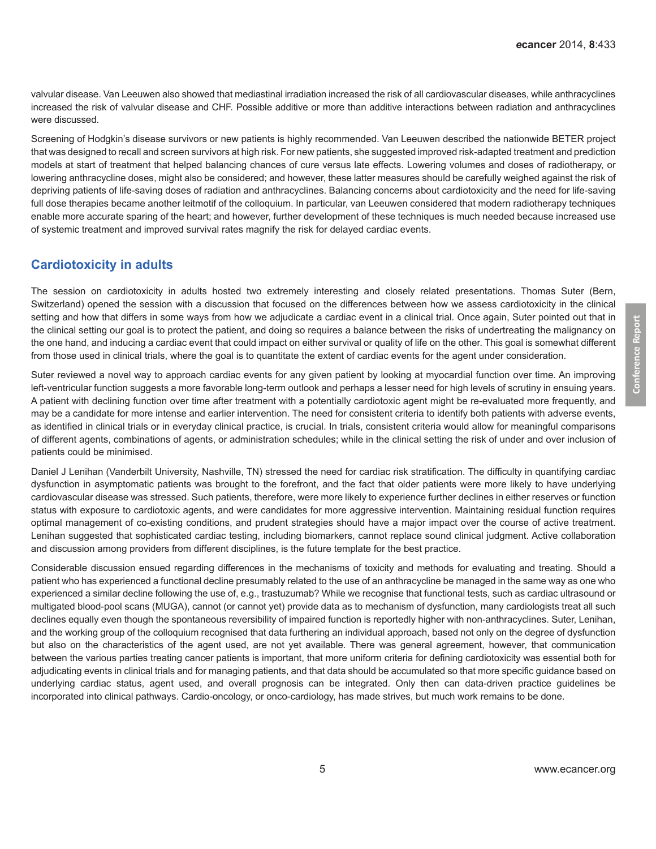valvular disease. Van Leeuwen also showed that mediastinal irradiation increased the risk of all cardiovascular diseases, while anthracyclines increased the risk of valvular disease and CHF. Possible additive or more than additive interactions between radiation and anthracyclines were discussed.

Screening of Hodgkin's disease survivors or new patients is highly recommended. Van Leeuwen described the nationwide BETER project that was designed to recall and screen survivors at high risk. For new patients, she suggested improved risk-adapted treatment and prediction models at start of treatment that helped balancing chances of cure versus late effects. Lowering volumes and doses of radiotherapy, or lowering anthracycline doses, might also be considered; and however, these latter measures should be carefully weighed against the risk of depriving patients of life-saving doses of radiation and anthracyclines. Balancing concerns about cardiotoxicity and the need for life-saving full dose therapies became another leitmotif of the colloquium. In particular, van Leeuwen considered that modern radiotherapy techniques enable more accurate sparing of the heart; and however, further development of these techniques is much needed because increased use of systemic treatment and improved survival rates magnify the risk for delayed cardiac events.

### **Cardiotoxicity in adults**

The session on cardiotoxicity in adults hosted two extremely interesting and closely related presentations. Thomas Suter (Bern, Switzerland) opened the session with a discussion that focused on the differences between how we assess cardiotoxicity in the clinical setting and how that differs in some ways from how we adjudicate a cardiac event in a clinical trial. Once again, Suter pointed out that in the clinical setting our goal is to protect the patient, and doing so requires a balance between the risks of undertreating the malignancy on the one hand, and inducing a cardiac event that could impact on either survival or quality of life on the other. This goal is somewhat different from those used in clinical trials, where the goal is to quantitate the extent of cardiac events for the agent under consideration.

Suter reviewed a novel way to approach cardiac events for any given patient by looking at myocardial function over time. An improving left-ventricular function suggests a more favorable long-term outlook and perhaps a lesser need for high levels of scrutiny in ensuing years. A patient with declining function over time after treatment with a potentially cardiotoxic agent might be re-evaluated more frequently, and may be a candidate for more intense and earlier intervention. The need for consistent criteria to identify both patients with adverse events, as identified in clinical trials or in everyday clinical practice, is crucial. In trials, consistent criteria would allow for meaningful comparisons of different agents, combinations of agents, or administration schedules; while in the clinical setting the risk of under and over inclusion of patients could be minimised.

Daniel J Lenihan (Vanderbilt University, Nashville, TN) stressed the need for cardiac risk stratification. The difficulty in quantifying cardiac dysfunction in asymptomatic patients was brought to the forefront, and the fact that older patients were more likely to have underlying cardiovascular disease was stressed. Such patients, therefore, were more likely to experience further declines in either reserves or function status with exposure to cardiotoxic agents, and were candidates for more aggressive intervention. Maintaining residual function requires optimal management of co-existing conditions, and prudent strategies should have a major impact over the course of active treatment. Lenihan suggested that sophisticated cardiac testing, including biomarkers, cannot replace sound clinical judgment. Active collaboration and discussion among providers from different disciplines, is the future template for the best practice.

Considerable discussion ensued regarding differences in the mechanisms of toxicity and methods for evaluating and treating. Should a patient who has experienced a functional decline presumably related to the use of an anthracycline be managed in the same way as one who experienced a similar decline following the use of, e.g., trastuzumab? While we recognise that functional tests, such as cardiac ultrasound or multigated blood-pool scans (MUGA), cannot (or cannot yet) provide data as to mechanism of dysfunction, many cardiologists treat all such declines equally even though the spontaneous reversibility of impaired function is reportedly higher with non-anthracyclines. Suter, Lenihan, and the working group of the colloquium recognised that data furthering an individual approach, based not only on the degree of dysfunction but also on the characteristics of the agent used, are not yet available. There was general agreement, however, that communication between the various parties treating cancer patients is important, that more uniform criteria for defining cardiotoxicity was essential both for adjudicating events in clinical trials and for managing patients, and that data should be accumulated so that more specific guidance based on underlying cardiac status, agent used, and overall prognosis can be integrated. Only then can data-driven practice guidelines be incorporated into clinical pathways. Cardio-oncology, or onco-cardiology, has made strives, but much work remains to be done.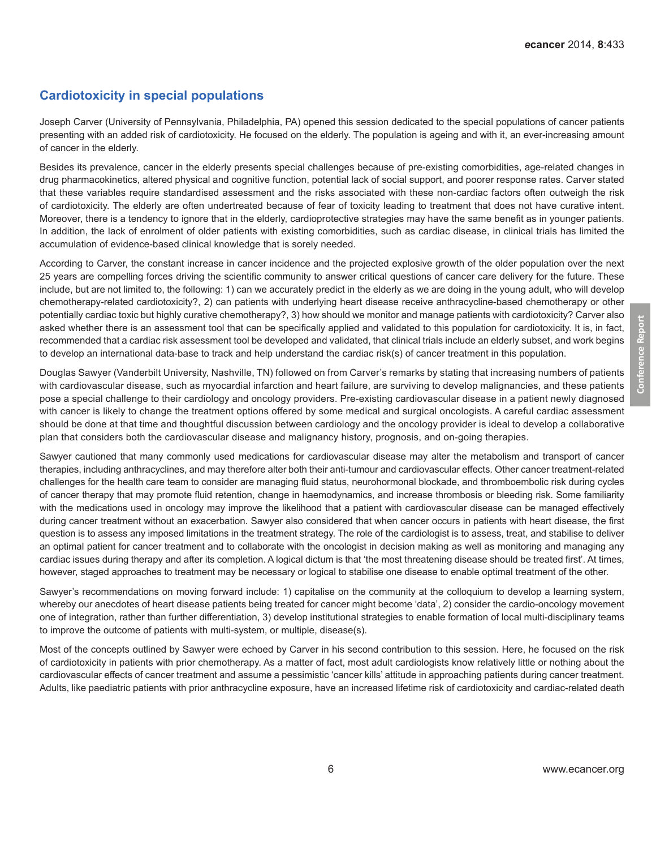# **Cardiotoxicity in special populations**

Joseph Carver (University of Pennsylvania, Philadelphia, PA) opened this session dedicated to the special populations of cancer patients presenting with an added risk of cardiotoxicity. He focused on the elderly. The population is ageing and with it, an ever-increasing amount of cancer in the elderly.

Besides its prevalence, cancer in the elderly presents special challenges because of pre-existing comorbidities, age-related changes in drug pharmacokinetics, altered physical and cognitive function, potential lack of social support, and poorer response rates. Carver stated that these variables require standardised assessment and the risks associated with these non-cardiac factors often outweigh the risk of cardiotoxicity. The elderly are often undertreated because of fear of toxicity leading to treatment that does not have curative intent. Moreover, there is a tendency to ignore that in the elderly, cardioprotective strategies may have the same benefit as in younger patients. In addition, the lack of enrolment of older patients with existing comorbidities, such as cardiac disease, in clinical trials has limited the accumulation of evidence-based clinical knowledge that is sorely needed.

According to Carver, the constant increase in cancer incidence and the projected explosive growth of the older population over the next 25 years are compelling forces driving the scientific community to answer critical questions of cancer care delivery for the future. These include, but are not limited to, the following: 1) can we accurately predict in the elderly as we are doing in the young adult, who will develop chemotherapy-related cardiotoxicity?, 2) can patients with underlying heart disease receive anthracycline-based chemotherapy or other potentially cardiac toxic but highly curative chemotherapy?, 3) how should we monitor and manage patients with cardiotoxicity? Carver also asked whether there is an assessment tool that can be specifically applied and validated to this population for cardiotoxicity. It is, in fact, recommended that a cardiac risk assessment tool be developed and validated, that clinical trials include an elderly subset, and work begins to develop an international data-base to track and help understand the cardiac risk(s) of cancer treatment in this population.

Douglas Sawyer (Vanderbilt University, Nashville, TN) followed on from Carver's remarks by stating that increasing numbers of patients with cardiovascular disease, such as myocardial infarction and heart failure, are surviving to develop malignancies, and these patients pose a special challenge to their cardiology and oncology providers. Pre-existing cardiovascular disease in a patient newly diagnosed with cancer is likely to change the treatment options offered by some medical and surgical oncologists. A careful cardiac assessment should be done at that time and thoughtful discussion between cardiology and the oncology provider is ideal to develop a collaborative plan that considers both the cardiovascular disease and malignancy history, prognosis, and on-going therapies.

Sawyer cautioned that many commonly used medications for cardiovascular disease may alter the metabolism and transport of cancer therapies, including anthracyclines, and may therefore alter both their anti-tumour and cardiovascular effects. Other cancer treatment-related challenges for the health care team to consider are managing fluid status, neurohormonal blockade, and thromboembolic risk during cycles of cancer therapy that may promote fluid retention, change in haemodynamics, and increase thrombosis or bleeding risk. Some familiarity with the medications used in oncology may improve the likelihood that a patient with cardiovascular disease can be managed effectively during cancer treatment without an exacerbation. Sawyer also considered that when cancer occurs in patients with heart disease, the first question is to assess any imposed limitations in the treatment strategy. The role of the cardiologist is to assess, treat, and stabilise to deliver an optimal patient for cancer treatment and to collaborate with the oncologist in decision making as well as monitoring and managing any cardiac issues during therapy and after its completion. A logical dictum is that 'the most threatening disease should be treated first'. At times, however, staged approaches to treatment may be necessary or logical to stabilise one disease to enable optimal treatment of the other.

Sawyer's recommendations on moving forward include: 1) capitalise on the community at the colloquium to develop a learning system, whereby our anecdotes of heart disease patients being treated for cancer might become 'data', 2) consider the cardio-oncology movement one of integration, rather than further differentiation, 3) develop institutional strategies to enable formation of local multi-disciplinary teams to improve the outcome of patients with multi-system, or multiple, disease(s).

Most of the concepts outlined by Sawyer were echoed by Carver in his second contribution to this session. Here, he focused on the risk of cardiotoxicity in patients with prior chemotherapy. As a matter of fact, most adult cardiologists know relatively little or nothing about the cardiovascular effects of cancer treatment and assume a pessimistic 'cancer kills' attitude in approaching patients during cancer treatment. Adults, like paediatric patients with prior anthracycline exposure, have an increased lifetime risk of cardiotoxicity and cardiac-related death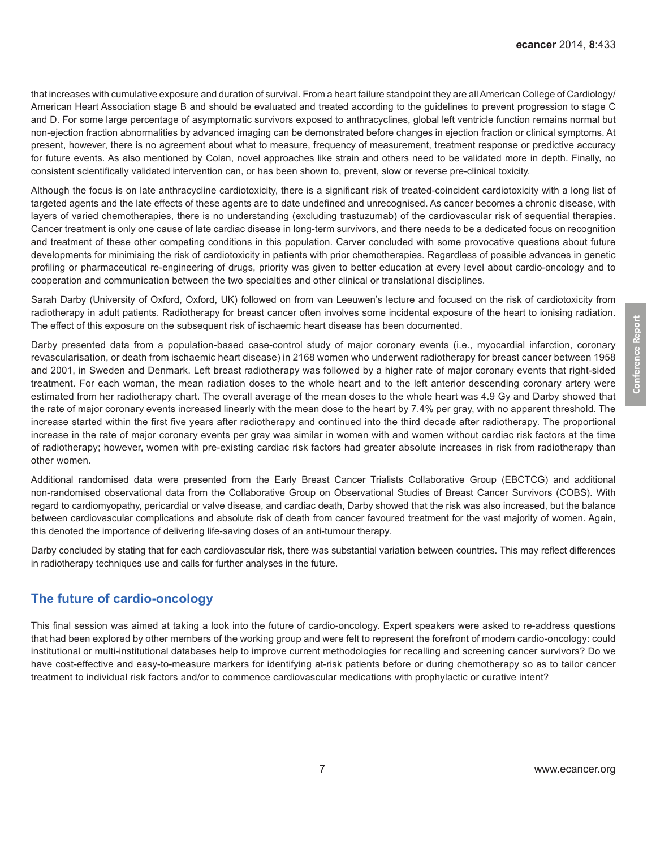that increases with cumulative exposure and duration of survival. From a heart failure standpoint they are all American College of Cardiology/ American Heart Association stage B and should be evaluated and treated according to the guidelines to prevent progression to stage C and D. For some large percentage of asymptomatic survivors exposed to anthracyclines, global left ventricle function remains normal but non-ejection fraction abnormalities by advanced imaging can be demonstrated before changes in ejection fraction or clinical symptoms. At present, however, there is no agreement about what to measure, frequency of measurement, treatment response or predictive accuracy for future events. As also mentioned by Colan, novel approaches like strain and others need to be validated more in depth. Finally, no consistent scientifically validated intervention can, or has been shown to, prevent, slow or reverse pre-clinical toxicity.

Although the focus is on late anthracycline cardiotoxicity, there is a significant risk of treated-coincident cardiotoxicity with a long list of targeted agents and the late effects of these agents are to date undefined and unrecognised. As cancer becomes a chronic disease, with layers of varied chemotherapies, there is no understanding (excluding trastuzumab) of the cardiovascular risk of sequential therapies. Cancer treatment is only one cause of late cardiac disease in long-term survivors, and there needs to be a dedicated focus on recognition and treatment of these other competing conditions in this population. Carver concluded with some provocative questions about future developments for minimising the risk of cardiotoxicity in patients with prior chemotherapies. Regardless of possible advances in genetic profiling or pharmaceutical re-engineering of drugs, priority was given to better education at every level about cardio-oncology and to cooperation and communication between the two specialties and other clinical or translational disciplines.

Sarah Darby (University of Oxford, Oxford, UK) followed on from van Leeuwen's lecture and focused on the risk of cardiotoxicity from radiotherapy in adult patients. Radiotherapy for breast cancer often involves some incidental exposure of the heart to ionising radiation. The effect of this exposure on the subsequent risk of ischaemic heart disease has been documented.

Darby presented data from a population-based case-control study of major coronary events (i.e., myocardial infarction, coronary revascularisation, or death from ischaemic heart disease) in 2168 women who underwent radiotherapy for breast cancer between 1958 and 2001, in Sweden and Denmark. Left breast radiotherapy was followed by a higher rate of major coronary events that right-sided treatment. For each woman, the mean radiation doses to the whole heart and to the left anterior descending coronary artery were estimated from her radiotherapy chart. The overall average of the mean doses to the whole heart was 4.9 Gy and Darby showed that the rate of major coronary events increased linearly with the mean dose to the heart by 7.4% per gray, with no apparent threshold. The increase started within the first five years after radiotherapy and continued into the third decade after radiotherapy. The proportional increase in the rate of major coronary events per gray was similar in women with and women without cardiac risk factors at the time of radiotherapy; however, women with pre-existing cardiac risk factors had greater absolute increases in risk from radiotherapy than other women.

Additional randomised data were presented from the Early Breast Cancer Trialists Collaborative Group (EBCTCG) and additional non-randomised observational data from the Collaborative Group on Observational Studies of Breast Cancer Survivors (COBS). With regard to cardiomyopathy, pericardial or valve disease, and cardiac death, Darby showed that the risk was also increased, but the balance between cardiovascular complications and absolute risk of death from cancer favoured treatment for the vast majority of women. Again, this denoted the importance of delivering life-saving doses of an anti-tumour therapy.

Darby concluded by stating that for each cardiovascular risk, there was substantial variation between countries. This may reflect differences in radiotherapy techniques use and calls for further analyses in the future.

### **The future of cardio-oncology**

This final session was aimed at taking a look into the future of cardio-oncology. Expert speakers were asked to re-address questions that had been explored by other members of the working group and were felt to represent the forefront of modern cardio-oncology: could institutional or multi-institutional databases help to improve current methodologies for recalling and screening cancer survivors? Do we have cost-effective and easy-to-measure markers for identifying at-risk patients before or during chemotherapy so as to tailor cancer treatment to individual risk factors and/or to commence cardiovascular medications with prophylactic or curative intent?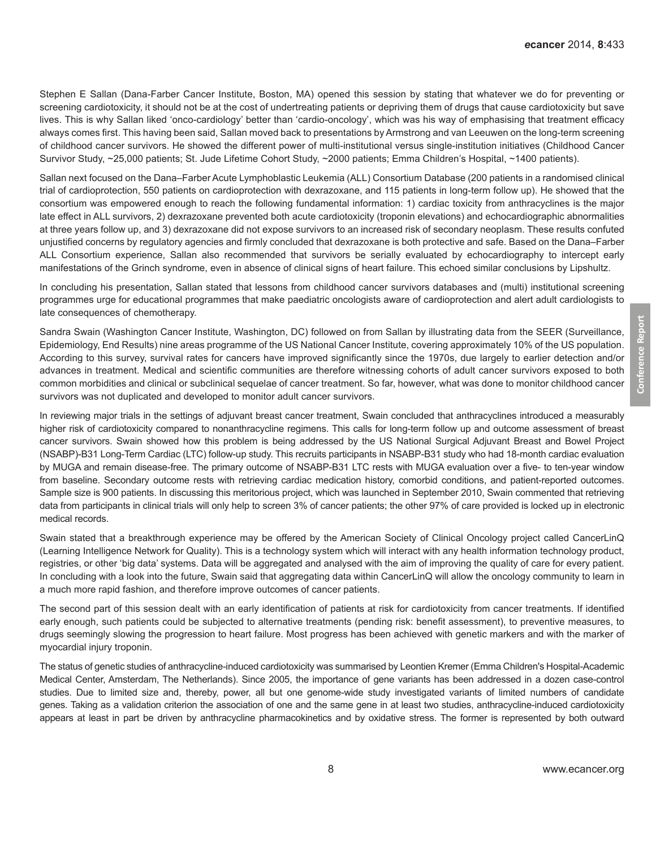Stephen E Sallan (Dana-Farber Cancer Institute, Boston, MA) opened this session by stating that whatever we do for preventing or screening cardiotoxicity, it should not be at the cost of undertreating patients or depriving them of drugs that cause cardiotoxicity but save lives. This is why Sallan liked 'onco-cardiology' better than 'cardio-oncology', which was his way of emphasising that treatment efficacy always comes first. This having been said, Sallan moved back to presentations by Armstrong and van Leeuwen on the long-term screening of childhood cancer survivors. He showed the different power of multi-institutional versus single-institution initiatives (Childhood Cancer Survivor Study, ~25,000 patients; St. Jude Lifetime Cohort Study, ~2000 patients; Emma Children's Hospital, ~1400 patients).

Sallan next focused on the Dana–Farber Acute Lymphoblastic Leukemia (ALL) Consortium Database (200 patients in a randomised clinical trial of cardioprotection, 550 patients on cardioprotection with dexrazoxane, and 115 patients in long-term follow up). He showed that the consortium was empowered enough to reach the following fundamental information: 1) cardiac toxicity from anthracyclines is the major late effect in ALL survivors, 2) dexrazoxane prevented both acute cardiotoxicity (troponin elevations) and echocardiographic abnormalities at three years follow up, and 3) dexrazoxane did not expose survivors to an increased risk of secondary neoplasm. These results confuted unjustified concerns by regulatory agencies and firmly concluded that dexrazoxane is both protective and safe. Based on the Dana–Farber ALL Consortium experience, Sallan also recommended that survivors be serially evaluated by echocardiography to intercept early manifestations of the Grinch syndrome, even in absence of clinical signs of heart failure. This echoed similar conclusions by Lipshultz.

In concluding his presentation, Sallan stated that lessons from childhood cancer survivors databases and (multi) institutional screening programmes urge for educational programmes that make paediatric oncologists aware of cardioprotection and alert adult cardiologists to late consequences of chemotherapy.

Sandra Swain (Washington Cancer Institute, Washington, DC) followed on from Sallan by illustrating data from the SEER (Surveillance, Epidemiology, End Results) nine areas programme of the US National Cancer Institute, covering approximately 10% of the US population. According to this survey, survival rates for cancers have improved significantly since the 1970s, due largely to earlier detection and/or advances in treatment. Medical and scientific communities are therefore witnessing cohorts of adult cancer survivors exposed to both common morbidities and clinical or subclinical sequelae of cancer treatment. So far, however, what was done to monitor childhood cancer survivors was not duplicated and developed to monitor adult cancer survivors.

In reviewing major trials in the settings of adjuvant breast cancer treatment, Swain concluded that anthracyclines introduced a measurably higher risk of cardiotoxicity compared to nonanthracycline regimens. This calls for long-term follow up and outcome assessment of breast cancer survivors. Swain showed how this problem is being addressed by the US National Surgical Adjuvant Breast and Bowel Project (NSABP)-B31 Long-Term Cardiac (LTC) follow-up study. This recruits participants in NSABP-B31 study who had 18-month cardiac evaluation by MUGA and remain disease-free. The primary outcome of NSABP-B31 LTC rests with MUGA evaluation over a five- to ten-year window from baseline. Secondary outcome rests with retrieving cardiac medication history, comorbid conditions, and patient-reported outcomes. Sample size is 900 patients. In discussing this meritorious project, which was launched in September 2010, Swain commented that retrieving data from participants in clinical trials will only help to screen 3% of cancer patients; the other 97% of care provided is locked up in electronic medical records.

Swain stated that a breakthrough experience may be offered by the American Society of Clinical Oncology project called CancerLinQ (Learning Intelligence Network for Quality). This is a technology system which will interact with any health information technology product, registries, or other 'big data' systems. Data will be aggregated and analysed with the aim of improving the quality of care for every patient. In concluding with a look into the future, Swain said that aggregating data within CancerLinQ will allow the oncology community to learn in a much more rapid fashion, and therefore improve outcomes of cancer patients.

The second part of this session dealt with an early identification of patients at risk for cardiotoxicity from cancer treatments. If identified early enough, such patients could be subjected to alternative treatments (pending risk: benefit assessment), to preventive measures, to drugs seemingly slowing the progression to heart failure. Most progress has been achieved with genetic markers and with the marker of myocardial injury troponin.

The status of genetic studies of anthracycline-induced cardiotoxicity was summarised by Leontien Kremer (Emma Children's Hospital-Academic Medical Center, Amsterdam, The Netherlands). Since 2005, the importance of gene variants has been addressed in a dozen case-control studies. Due to limited size and, thereby, power, all but one genome-wide study investigated variants of limited numbers of candidate genes. Taking as a validation criterion the association of one and the same gene in at least two studies, anthracycline-induced cardiotoxicity appears at least in part be driven by anthracycline pharmacokinetics and by oxidative stress. The former is represented by both outward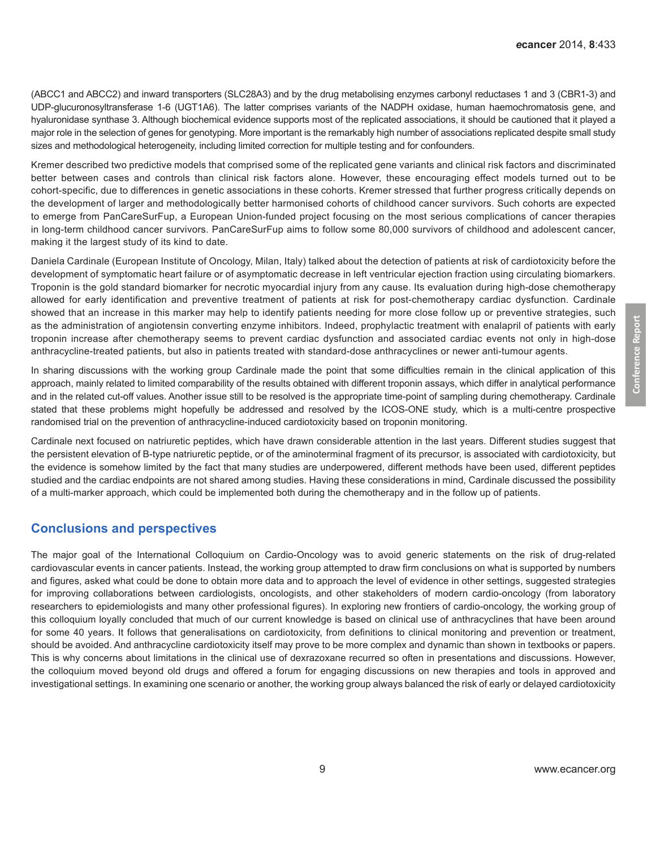(ABCC1 and ABCC2) and inward transporters (SLC28A3) and by the drug metabolising enzymes carbonyl reductases 1 and 3 (CBR1-3) and UDP-glucuronosyltransferase 1-6 (UGT1A6). The latter comprises variants of the NADPH oxidase, human haemochromatosis gene, and hyaluronidase synthase 3. Although biochemical evidence supports most of the replicated associations, it should be cautioned that it played a major role in the selection of genes for genotyping. More important is the remarkably high number of associations replicated despite small study sizes and methodological heterogeneity, including limited correction for multiple testing and for confounders.

Kremer described two predictive models that comprised some of the replicated gene variants and clinical risk factors and discriminated better between cases and controls than clinical risk factors alone. However, these encouraging effect models turned out to be cohort-specific, due to differences in genetic associations in these cohorts. Kremer stressed that further progress critically depends on the development of larger and methodologically better harmonised cohorts of childhood cancer survivors. Such cohorts are expected to emerge from PanCareSurFup, a European Union-funded project focusing on the most serious complications of cancer therapies in long-term childhood cancer survivors. PanCareSurFup aims to follow some 80,000 survivors of childhood and adolescent cancer, making it the largest study of its kind to date.

Daniela Cardinale (European Institute of Oncology, Milan, Italy) talked about the detection of patients at risk of cardiotoxicity before the development of symptomatic heart failure or of asymptomatic decrease in left ventricular ejection fraction using circulating biomarkers. Troponin is the gold standard biomarker for necrotic myocardial injury from any cause. Its evaluation during high-dose chemotherapy allowed for early identification and preventive treatment of patients at risk for post-chemotherapy cardiac dysfunction. Cardinale showed that an increase in this marker may help to identify patients needing for more close follow up or preventive strategies, such as the administration of angiotensin converting enzyme inhibitors. Indeed, prophylactic treatment with enalapril of patients with early troponin increase after chemotherapy seems to prevent cardiac dysfunction and associated cardiac events not only in high-dose anthracycline-treated patients, but also in patients treated with standard-dose anthracyclines or newer anti-tumour agents.

In sharing discussions with the working group Cardinale made the point that some difficulties remain in the clinical application of this approach, mainly related to limited comparability of the results obtained with different troponin assays, which differ in analytical performance and in the related cut-off values. Another issue still to be resolved is the appropriate time-point of sampling during chemotherapy. Cardinale stated that these problems might hopefully be addressed and resolved by the ICOS-ONE study, which is a multi-centre prospective randomised trial on the prevention of anthracycline-induced cardiotoxicity based on troponin monitoring.

Cardinale next focused on natriuretic peptides, which have drawn considerable attention in the last years. Different studies suggest that the persistent elevation of B-type natriuretic peptide, or of the aminoterminal fragment of its precursor, is associated with cardiotoxicity, but the evidence is somehow limited by the fact that many studies are underpowered, different methods have been used, different peptides studied and the cardiac endpoints are not shared among studies. Having these considerations in mind, Cardinale discussed the possibility of a multi-marker approach, which could be implemented both during the chemotherapy and in the follow up of patients.

# **Conclusions and perspectives**

The major goal of the International Colloquium on Cardio-Oncology was to avoid generic statements on the risk of drug-related cardiovascular events in cancer patients. Instead, the working group attempted to draw firm conclusions on what is supported by numbers and figures, asked what could be done to obtain more data and to approach the level of evidence in other settings, suggested strategies for improving collaborations between cardiologists, oncologists, and other stakeholders of modern cardio-oncology (from laboratory researchers to epidemiologists and many other professional figures). In exploring new frontiers of cardio-oncology, the working group of this colloquium loyally concluded that much of our current knowledge is based on clinical use of anthracyclines that have been around for some 40 years. It follows that generalisations on cardiotoxicity, from definitions to clinical monitoring and prevention or treatment, should be avoided. And anthracycline cardiotoxicity itself may prove to be more complex and dynamic than shown in textbooks or papers. This is why concerns about limitations in the clinical use of dexrazoxane recurred so often in presentations and discussions. However, the colloquium moved beyond old drugs and offered a forum for engaging discussions on new therapies and tools in approved and investigational settings. In examining one scenario or another, the working group always balanced the risk of early or delayed cardiotoxicity